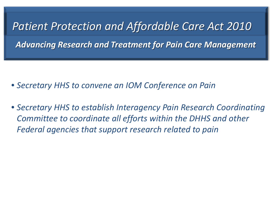*Advancing Research and Treatment for Pain Care Management Patient Protection and Affordable Care Act 2010* 

- *Secretary HHS to convene an IOM Conference on Pain*
- *Committee to coordinate all efforts within the DHHS and other*  • *Secretary HHS to establish Interagency Pain Research Coordinating Federal agencies that support research related to pain*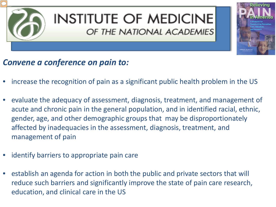

#### *Convene a conference on pain to:*

- increase the recognition of pain as a significant public health problem in the US
- acute and chronic pain in the general population, and in identified racial, ethnic, gender, age, and other demographic groups that may be disproportionately affected by inadequacies in the assessment, diagnosis, treatment, and evaluate the adequacy of assessment, diagnosis, treatment, and management of management of pain
- identify barriers to appropriate pain care
- establish an agenda for action in both the public and private sectors that will reduce such barriers and significantly improve the state of pain care research, education, and clinical care in the US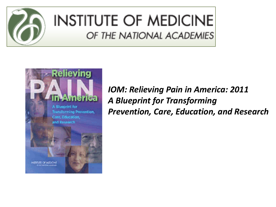

# **INSTITUTE OF MEDICINE** OF THE NATIONAL ACADEMIES



*IOM: Relieving Pain in America: 2011 A Blueprint for Transforming Prevention, Care, Education, and Research*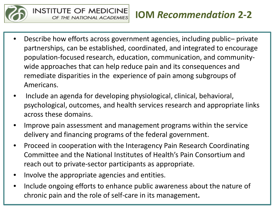

- Describe how efforts across government agencies, including public- private partnerships, can be established, coordinated, and integrated to encourage wide approaches that can help reduce pain and its consequences and remediate disparities in the experience of pain among subgroups of population-focused research, education, communication, and community-Americans.
- **•** Include an agenda for developing physiological, clinical, behavioral, psychological, outcomes, and health services research and appropriate links across these domains.
- Improve pain assessment and management programs within the service delivery and financing programs of the federal government.
- Committee and the National Institutes of Health's Pain Consortium and reach out to private-sector participants as appropriate. Proceed in cooperation with the Interagency Pain Research Coordinating
- Involve the appropriate agencies and entities.
- Include ongoing efforts to enhance public awareness about the nature of chronic pain and the role of self-care in its management**.**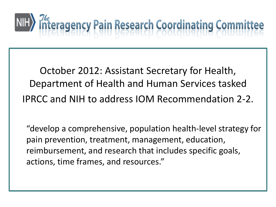# The Interagency Pain Research Coordinating Committee

 Department of Health and Human Services tasked IPRCC and NIH to address IOM Recommendation 2-2. October 2012: Assistant Secretary for Health,

"develop a comprehensive, population health-level strategy for pain prevention, treatment, management, education, reimbursement, and research that includes specific goals, actions, time frames, and resources."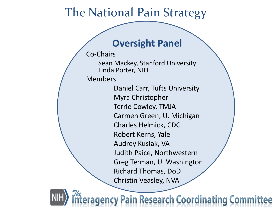#### **Oversight Panel**

Co-Chairs

Sean Mackey, Stanford University Linda Porter, NIH

Members

 Daniel Carr, Tufts University Carmen Green, U. Michigan Myra Christopher Terrie Cowley, TMJA Charles Helmick, CDC Robert Kerns, Yale Audrey Kusiak, VA Judith Paice, Northwestern Greg Terman, U. Washington Richard Thomas, DoD Christin Veasley, NVA

### nteragency Pain Research Coordinating Committee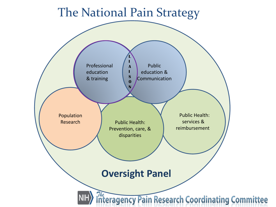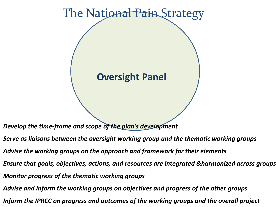

*Develop the time-frame and scope of the plan's development* 

*Serve as liaisons between the oversight working group and the thematic working groups Advise the working groups on the approach and framework for their elements Ensure that goals, objectives, actions, and resources are integrated &harmonized across groups Monitor progress of the thematic working groups* 

*Advise and inform the working groups on objectives and progress of the other groups Inform the IPRCC on progress and outcomes of the working groups and the overall project*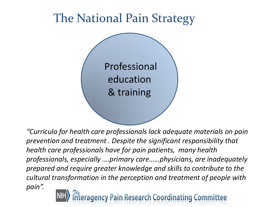

 *prevention and treatment . Despite the significant responsibility that health care professionals have for pain patients, many health prepared and require greater knowledge and skills to contribute to the "Curricula for health care professionals lack adequate materials on pain professionals, especially ….primary care……physicians, are inadequately cultural transformation in the perception and treatment of people with pain".* 

### teragency Pain Research Coordinating Committee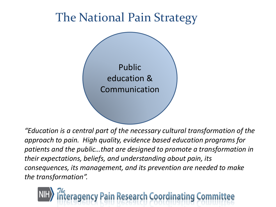

 *"Education is a central part of the necessary cultural transformation of the approach to pain. High quality, evidence based education programs for patients and the public…that are designed to promote a transformation in their expectations, beliefs, and understanding about pain, its consequences, its management, and its prevention are needed to make the transformation".* 

# nteragency Pain Research Coordinating Committee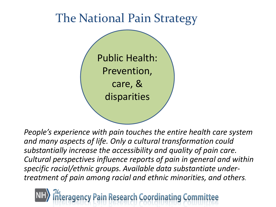

 *People's experience with pain touches the entire health care system and many aspects of life. Only a cultural transformation could substantially increase the accessibility and quality of pain care. treatment of pain among racial and ethnic minorities, and others. Cultural perspectives influence reports of pain in general and within specific racial/ethnic groups. Available data substantiate under-*

# teragency Pain Research Coordinating Committee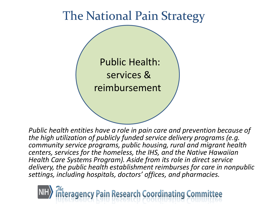Public Health: services & reimbursement

 *the high utilization of publicly funded service delivery programs (e.g. Public health entities have a role in pain care and prevention because of community service programs, public housing, rural and migrant health centers, services for the homeless, the IHS, and the Native Hawaiian Health Care Systems Program). Aside from its role in direct service delivery, the public health establishment reimburses for care in nonpublic settings, including hospitals, doctors' offices, and pharmacies.* 

# teragency Pain Research Coordinating Committee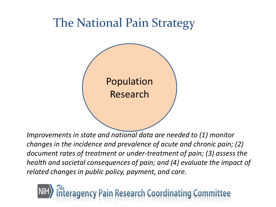

*Improvements in state and national data are needed to (1) monitor changes in the incidence and prevalence of acute and chronic pain; (2) document rates of treatment or under-treatment of pain; (3) assess the health and societal consequences of pain; and (4) evaluate the impact of related changes in public policy, payment, and care.* 

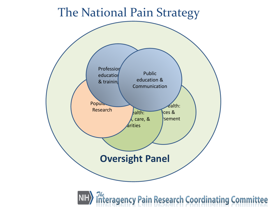

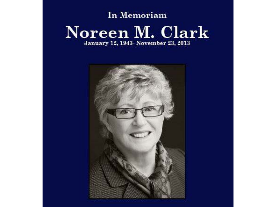#### In Memoriam Noreen M. Clark January 12, 1943- November 23, 2013

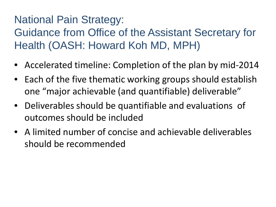### National Pain Strategy:

 Health (OASH: Howard Koh MD, MPH) Guidance from Office of the Assistant Secretary for

- Accelerated timeline: Completion of the plan by mid-2014
- • Each of the five thematic working groups should establish one "major achievable (and quantifiable) deliverable"
- • Deliverables should be quantifiable and evaluations of outcomes should be included
- • A limited number of concise and achievable deliverables should be recommended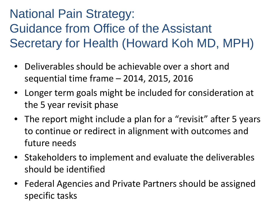## National Pain Strategy: Guidance from Office of the Assistant Secretary for Health (Howard Koh MD, MPH)

- Deliverables should be achievable over a short and sequential time frame – 2014, 2015, 2016
- the 5 year revisit phase • Longer term goals might be included for consideration at
- The report might include a plan for a "revisit" after 5 years to continue or redirect in alignment with outcomes and future needs
- Stakeholders to implement and evaluate the deliverables should be identified
- Federal Agencies and Private Partners should be assigned specific tasks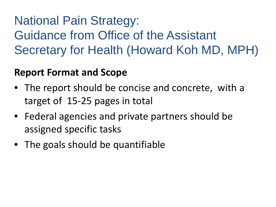## National Pain Strategy: Guidance from Office of the Assistant Secretary for Health (Howard Koh MD, MPH)

#### **Report Format and Scope**

- The report should be concise and concrete, with a target of 15-25 pages in total
- • Federal agencies and private partners should be assigned specific tasks
- The goals should be quantifiable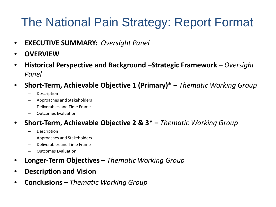### The National Pain Strategy: Report Format

- • **EXECUTIVE SUMMARY:** *Oversight Panel*
- **OVERVIEW**
- **Historical Perspective and Background –Strategic Framework Oversight** *Panel*
- • **Short-Term, Achievable Objective 1 (Primary)\*** *Thematic Working Group* 
	- – Description
	- – Approaches and Stakeholders
	- – Deliverables and Time Frame
	- – Outcomes Evaluation

#### **Short-Term, Achievable Objective 2 & 3<sup>\*</sup> –** *Thematic Working Group*

- – Description
- – Approaches and Stakeholders
- – Deliverables and Time Frame
- **Outcomes Evaluation**
- • **Longer-Term Objectives** *Thematic Working Group*
- **Description and Vision**
- • **Conclusions** *Thematic Working Group*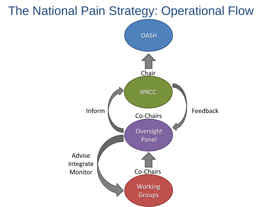### The National Pain Strategy: Operational Flow

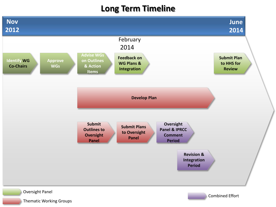#### **Long Term Timeline**



Thematic Working Groups